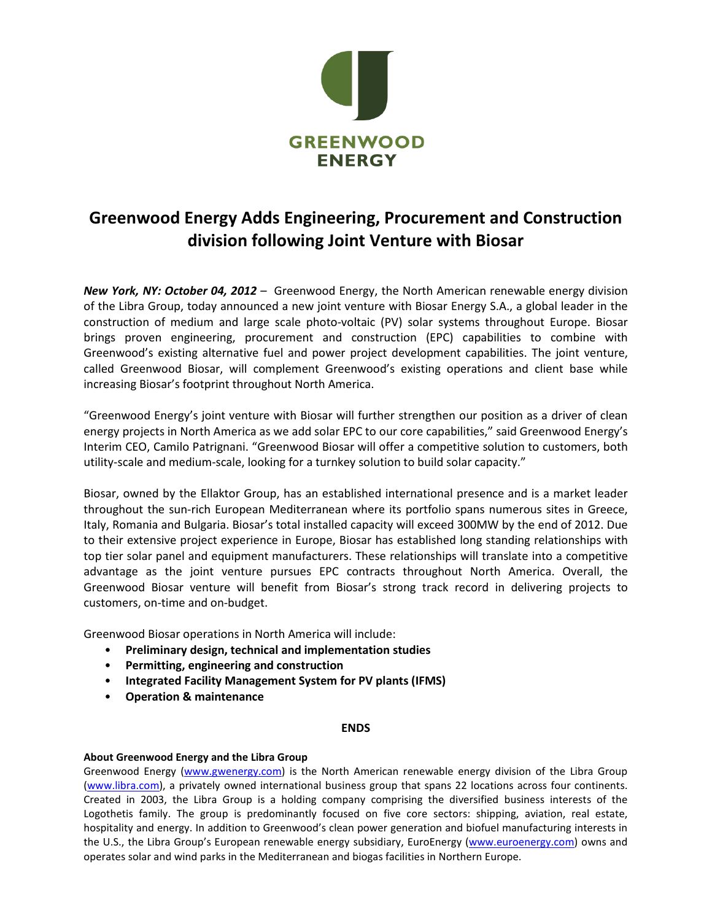

## **Greenwood Energy Adds Engineering, Procurement and Construction division following Joint Venture with Biosar**

*New York, NY: October 04, 2012* – Greenwood Energy, the North American renewable energy division of the Libra Group, today announced a new joint venture with Biosar Energy S.A., a global leader in the construction of medium and large scale photo-voltaic (PV) solar systems throughout Europe. Biosar brings proven engineering, procurement and construction (EPC) capabilities to combine with Greenwood's existing alternative fuel and power project development capabilities. The joint venture, called Greenwood Biosar, will complement Greenwood's existing operations and client base while increasing Biosar's footprint throughout North America.

"Greenwood Energy's joint venture with Biosar will further strengthen our position as a driver of clean energy projects in North America as we add solar EPC to our core capabilities," said Greenwood Energy's Interim CEO, Camilo Patrignani. "Greenwood Biosar will offer a competitive solution to customers, both utility-scale and medium-scale, looking for a turnkey solution to build solar capacity."

Biosar, owned by the Ellaktor Group, has an established international presence and is a market leader throughout the sun-rich European Mediterranean where its portfolio spans numerous sites in Greece, Italy, Romania and Bulgaria. Biosar's total installed capacity will exceed 300MW by the end of 2012. Due to their extensive project experience in Europe, Biosar has established long standing relationships with top tier solar panel and equipment manufacturers. These relationships will translate into a competitive advantage as the joint venture pursues EPC contracts throughout North America. Overall, the Greenwood Biosar venture will benefit from Biosar's strong track record in delivering projects to customers, on-time and on-budget.

Greenwood Biosar operations in North America will include:

- **Preliminary design, technical and implementation studies**
- **Permitting, engineering and construction**
- **Integrated Facility Management System for PV plants (IFMS)**
- **Operation & maintenance**

## **ENDS**

## **About Greenwood Energy and the Libra Group**

Greenwood Energy [\(www.gwenergy.com\)](http://www.gwenergy.com/) is the North American renewable energy division of the Libra Group [\(www.libra.com\)](http://www.libra.com/), a privately owned international business group that spans 22 locations across four continents. Created in 2003, the Libra Group is a holding company comprising the diversified business interests of the Logothetis family. The group is predominantly focused on five core sectors: shipping, aviation, real estate, hospitality and energy. In addition to Greenwood's clean power generation and biofuel manufacturing interests in the U.S., the Libra Group's European renewable energy subsidiary, EuroEnergy [\(www.euroenergy.com\)](http://www.euroenergy.com/) owns and operates solar and wind parks in the Mediterranean and biogas facilities in Northern Europe.